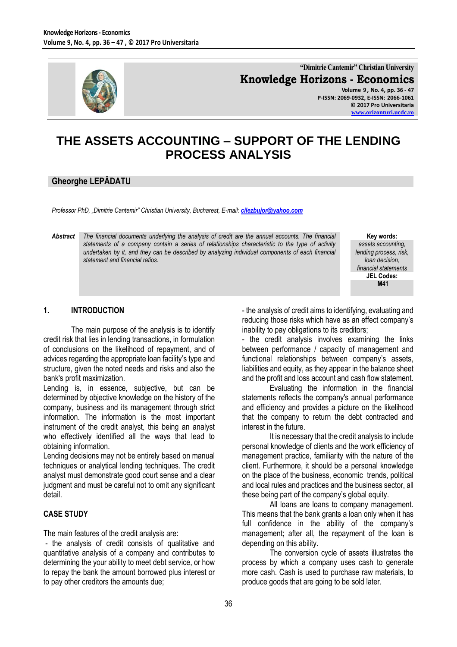

**"Dimitrie Cantemir" Christian University Knowledge Horizons - Economics Volume 9 , No. 4, pp. 36 - 47**

**P-ISSN: 2069-0932, E-ISSN: 2066-1061 © 2017 Pro Universitaria [www.orizonturi.ucdc.ro](http://www.orizonturi.ucdc.ro/)**

# **THE ASSETS ACCOUNTING – SUPPORT OF THE LENDING PROCESS ANALYSIS**

# **Gheorghe LEPĂDATU**

*Professor PhD, "Dimitrie Cantemir" Christian University, Bucharest, E-mail: [cilezbujor@yahoo.com](mailto:cilezbujor@yahoo.com)*

*Abstract The financial documents underlying the analysis of credit are the annual accounts. The financial statements of a company contain a series of relationships characteristic to the type of activity undertaken by it, and they can be described by analyzing individual components of each financial statement and financial ratios.* 

**Key words:** *assets accounting,* 

*lending process, risk, loan decision, financial statements* **JEL Codes: M41**

### **1. INTRODUCTION**

The main purpose of the analysis is to identify credit risk that lies in lending transactions, in formulation of conclusions on the likelihood of repayment, and of advices regarding the appropriate loan facility's type and structure, given the noted needs and risks and also the bank's profit maximization.

Lending is, in essence, subjective, but can be determined by objective knowledge on the history of the company, business and its management through strict information. The information is the most important instrument of the credit analyst, this being an analyst who effectively identified all the ways that lead to obtaining information.

Lending decisions may not be entirely based on manual techniques or analytical lending techniques. The credit analyst must demonstrate good court sense and a clear judgment and must be careful not to omit any significant detail.

# **CASE STUDY**

The main features of the credit analysis are:

- the analysis of credit consists of qualitative and quantitative analysis of a company and contributes to determining the your ability to meet debt service, or how to repay the bank the amount borrowed plus interest or to pay other creditors the amounts due;

- the analysis of credit aims to identifying, evaluating and reducing those risks which have as an effect company's inability to pay obligations to its creditors;

- the credit analysis involves examining the links between performance / capacity of management and functional relationships between company's assets, liabilities and equity, as they appear in the balance sheet and the profit and loss account and cash flow statement.

Evaluating the information in the financial statements reflects the company's annual performance and efficiency and provides a picture on the likelihood that the company to return the debt contracted and interest in the future.

It is necessary that the credit analysis to include personal knowledge of clients and the work efficiency of management practice, familiarity with the nature of the client. Furthermore, it should be a personal knowledge on the place of the business, economic trends, political and local rules and practices and the business sector, all these being part of the company's global equity.

All loans are loans to company management. This means that the bank grants a loan only when it has full confidence in the ability of the company's management; after all, the repayment of the loan is depending on this ability.

The conversion cycle of assets illustrates the process by which a company uses cash to generate more cash. Cash is used to purchase raw materials, to produce goods that are going to be sold later.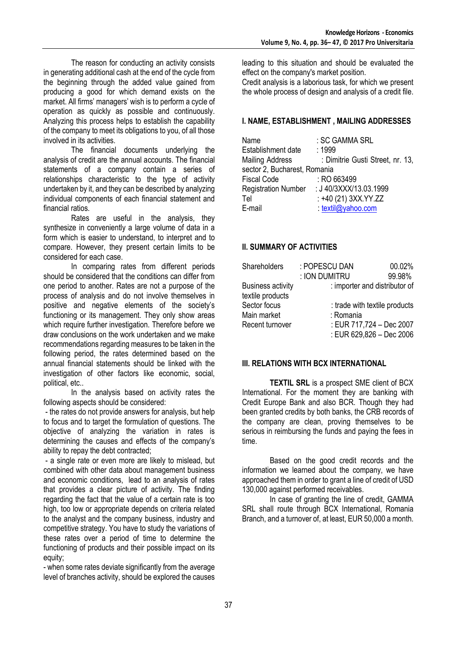The reason for conducting an activity consists in generating additional cash at the end of the cycle from the beginning through the added value gained from producing a good for which demand exists on the market. All firms' managers' wish is to perform a cycle of operation as quickly as possible and continuously. Analyzing this process helps to establish the capability of the company to meet its obligations to you, of all those involved in its activities.

The financial documents underlying the analysis of credit are the annual accounts. The financial statements of a company contain a series of relationships characteristic to the type of activity undertaken by it, and they can be described by analyzing individual components of each financial statement and financial ratios.

Rates are useful in the analysis, they synthesize in conveniently a large volume of data in a form which is easier to understand, to interpret and to compare. However, they present certain limits to be considered for each case.

In comparing rates from different periods should be considered that the conditions can differ from one period to another. Rates are not a purpose of the process of analysis and do not involve themselves in positive and negative elements of the society's functioning or its management. They only show areas which require further investigation. Therefore before we draw conclusions on the work undertaken and we make recommendations regarding measures to be taken in the following period, the rates determined based on the annual financial statements should be linked with the investigation of other factors like economic, social, political, etc..

In the analysis based on activity rates the following aspects should be considered:

- the rates do not provide answers for analysis, but help to focus and to target the formulation of questions. The objective of analyzing the variation in rates is determining the causes and effects of the company's ability to repay the debt contracted;

- a single rate or even more are likely to mislead, but combined with other data about management business and economic conditions, lead to an analysis of rates that provides a clear picture of activity. The finding regarding the fact that the value of a certain rate is too high, too low or appropriate depends on criteria related to the analyst and the company business, industry and competitive strategy. You have to study the variations of these rates over a period of time to determine the functioning of products and their possible impact on its equity;

- when some rates deviate significantly from the average level of branches activity, should be explored the causes

leading to this situation and should be evaluated the effect on the company's market position.

Credit analysis is a laborious task, for which we present the whole process of design and analysis of a credit file.

# **I. NAME, ESTABLISHMENT , MAILING ADDRESSES**

| Name                         | : SC GAMMA SRL                   |
|------------------------------|----------------------------------|
| Establishment date           | : 1999                           |
| <b>Mailing Address</b>       | : Dimitrie Gusti Street, nr. 13, |
| sector 2, Bucharest, Romania |                                  |
| <b>Fiscal Code</b>           | $:$ RO 663499                    |
| <b>Registration Number</b>   | : J 40/3XXX/13.03.1999           |
| Tel                          | : +40 (21) 3XX.YY.ZZ             |
| E-mail                       | : textil@yahoo.com               |

# **II. SUMMARY OF ACTIVITIES**

| Shareholders                                 | : POPESCU DAN                 | 00.02% |
|----------------------------------------------|-------------------------------|--------|
|                                              | : ION DUMITRU                 | 99.98% |
| <b>Business activity</b><br>textile products | : importer and distributor of |        |
| Sector focus                                 | : trade with textile products |        |
| Main market                                  | : Romania                     |        |
| Recent turnover                              | : EUR 717,724 - Dec 2007      |        |
|                                              | : EUR 629,826 - Dec 2006      |        |

# **III. RELATIONS WITH BCX INTERNATIONAL**

**TEXTIL SRL** is a prospect SME client of BCX International. For the moment they are banking with Credit Europe Bank and also BCR. Though they had been granted credits by both banks, the CRB records of the company are clean, proving themselves to be serious in reimbursing the funds and paying the fees in time.

Based on the good credit records and the information we learned about the company, we have approached them in order to grant a line of credit of USD 130,000 against performed receivables.

In case of granting the line of credit, GAMMA SRL shall route through BCX International, Romania Branch, and a turnover of, at least, EUR 50,000 a month.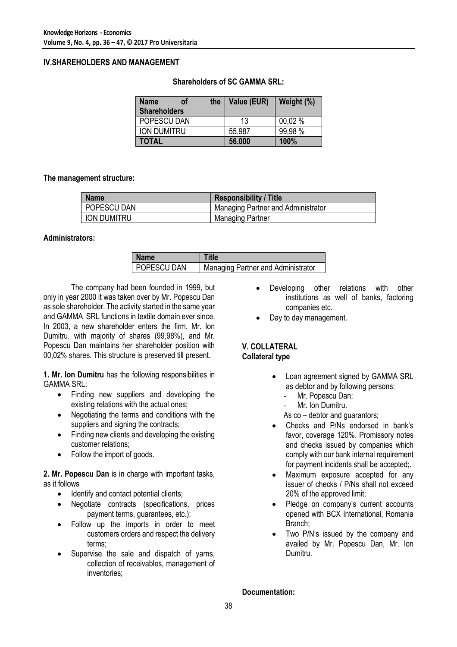### **IV.SHAREHOLDERS AND MANAGEMENT**

| <b>Name</b><br><b>of</b><br><b>Shareholders</b> | the | Value (EUR) | Weight (%) |
|-------------------------------------------------|-----|-------------|------------|
| POPESCU DAN                                     |     | 13          | 00.02 %    |
| ION DUMITRU                                     |     | 55.987      | 99,98 %    |
| <b>TOTAL</b>                                    |     | 56,000      | 100%       |

### **Shareholders of SC GAMMA SRL:**

### **The management structure:**

| <b>Name</b>        | <b>Responsibility / Title</b>      |
|--------------------|------------------------------------|
| <b>POPESCU DAN</b> | Managing Partner and Administrator |
| ION DUMITRU        | Managing Partner                   |

### **Administrators:**

| l Name             | Title                                     |
|--------------------|-------------------------------------------|
| <b>POPESCU DAN</b> | <b>Managing Partner and Administrator</b> |

The company had been founded in 1999, but only in year 2000 it was taken over by Mr. Popescu Dan as sole shareholder. The activity started in the same year and GAMMA SRL functions in textile domain ever since. In 2003, a new shareholder enters the firm, Mr. Ion Dumitru, with majority of shares (99,98%), and Mr. Popescu Dan maintains her shareholder position with 00,02% shares. This structure is preserved till present.

**1. Mr. Ion Dumitru** has the following responsibilities in GAMMA SRL:

- Finding new suppliers and developing the existing relations with the actual ones;
- Negotiating the terms and conditions with the suppliers and signing the contracts;
- Finding new clients and developing the existing customer relations;
- Follow the import of goods.

**2. Mr. Popescu Dan** is in charge with important tasks, as it follows

- Identify and contact potential clients;
- Negotiate contracts (specifications, prices payment terms, guarantees, etc.);
- Follow up the imports in order to meet customers orders and respect the delivery terms;
- Supervise the sale and dispatch of yarns, collection of receivables, management of inventories;
- Developing other relations with other institutions as well of banks, factoring companies etc.
- Day to day management.

### **V. COLLATERAL Collateral type**

- Loan agreement signed by GAMMA SRL as debtor and by following persons:
	- Mr. Popescu Dan;
	- Mr. Ion Dumitru.
	- As co debtor and guarantors;
- Checks and P/Ns endorsed in bank's favor, coverage 120%. Promissory notes and checks issued by companies which comply with our bank internal requirement for payment incidents shall be accepted;.
- Maximum exposure accepted for any issuer of checks / P/Ns shall not exceed 20% of the approved limit;
- Pledge on company's current accounts opened with BCX International, Romania Branch;
- Two P/N's issued by the company and availed by Mr. Popescu Dan, Mr. Ion Dumitru.

# **Documentation:**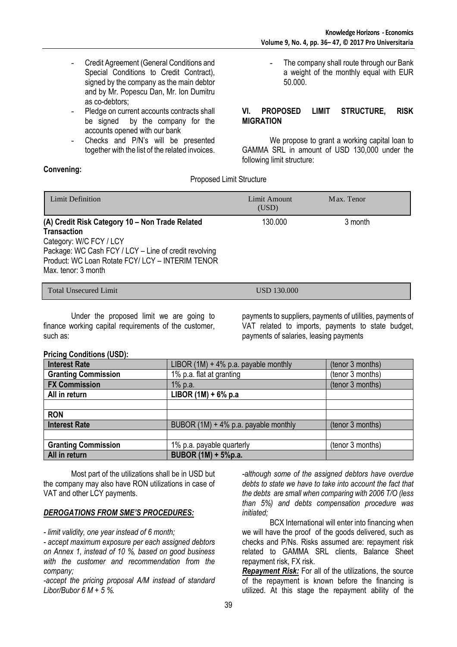**-** The company shall route through our Bank a weight of the monthly equal with EUR

- **-** Credit Agreement (General Conditions and Special Conditions to Credit Contract), signed by the company as the main debtor and by Mr. Popescu Dan, Mr. Ion Dumitru as co-debtors;
- **-** Pledge on current accounts contracts shall be signed by the company for the accounts opened with our bank
- **-** Checks and P/N's will be presented together with the list of the related invoices.

# **Convening:**

Proposed Limit Structure

| Limit Definition                                                                                                                                                                                                                     | Limit Amount<br>(USD) | Max. Tenor |
|--------------------------------------------------------------------------------------------------------------------------------------------------------------------------------------------------------------------------------------|-----------------------|------------|
| (A) Credit Risk Category 10 - Non Trade Related<br><b>Transaction</b><br>Category: W/C FCY / LCY<br>Package: WC Cash FCY / LCY - Line of credit revolving<br>Product: WC Loan Rotate FCY/ LCY - INTERIM TENOR<br>Max. tenor: 3 month | 130.000               | 3 month    |
| <b>Total Unsecured Limit</b>                                                                                                                                                                                                         | USD 130.000           |            |

Under the proposed limit we are going to finance working capital requirements of the customer, such as:

payments to suppliers, payments of utilities, payments of VAT related to imports, payments to state budget, payments of salaries, leasing payments

### **Pricing Conditions (USD):**

| <b>Interest Rate</b>       | LIBOR $(1M) + 4\%$ p.a. payable monthly | (tenor 3 months) |
|----------------------------|-----------------------------------------|------------------|
| <b>Granting Commission</b> | 1% p.a. flat at granting                | (tenor 3 months) |
| <b>FX Commission</b>       | 1% p.a.                                 | (tenor 3 months) |
| All in return              | LIBOR $(1M) + 6%$ p.a                   |                  |
|                            |                                         |                  |
| <b>RON</b>                 |                                         |                  |
| <b>Interest Rate</b>       | BUBOR (1M) + 4% p.a. payable monthly    | (tenor 3 months) |
|                            |                                         |                  |
| <b>Granting Commission</b> | 1% p.a. payable quarterly               | (tenor 3 months) |
| All in return              | BUBOR (1M) + 5%p.a.                     |                  |

Most part of the utilizations shall be in USD but the company may also have RON utilizations in case of VAT and other LCY payments.

### *DEROGATIONS FROM SME'S PROCEDURES:*

*- limit validity, one year instead of 6 month;*

*- accept maximum exposure per each assigned debtors on Annex 1, instead of 10 %, based on good business with the customer and recommendation from the company;*

*-accept the pricing proposal A/M instead of standard Libor/Bubor 6 M + 5 %.*

*-although some of the assigned debtors have overdue debts to state we have to take into account the fact that the debts are small when comparing with 2006 T/O (less than 5%) and debts compensation procedure was initiated;*

BCX International will enter into financing when we will have the proof of the goods delivered, such as checks and P/Ns. Risks assumed are: repayment risk related to GAMMA SRL clients, Balance Sheet repayment risk, FX risk.

*Repayment Risk:* For all of the utilizations, the source of the repayment is known before the financing is utilized. At this stage the repayment ability of the

**MIGRATION**

50.000.

We propose to grant a working capital loan to GAMMA SRL in amount of USD 130,000 under the following limit structure: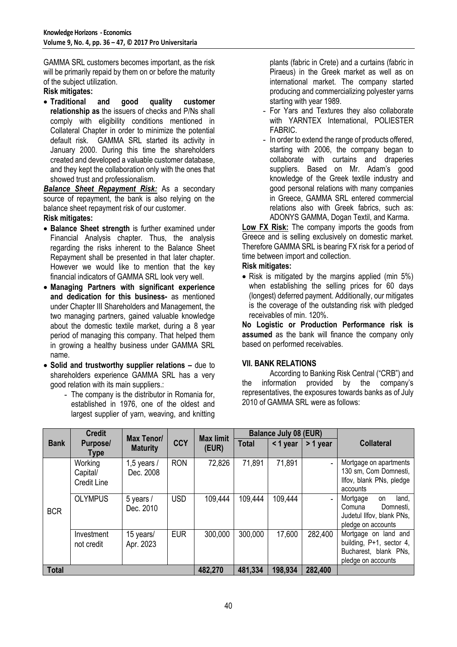GAMMA SRL customers becomes important, as the risk will be primarily repaid by them on or before the maturity of the subject utilization.

# **Risk mitigates:**

 **Traditional and good quality customer relationship as** the issuers of checks and P/Ns shall comply with eligibility conditions mentioned in Collateral Chapter in order to minimize the potential default risk. GAMMA SRL started its activity in January 2000. During this time the shareholders created and developed a valuable customer database, and they kept the collaboration only with the ones that showed trust and professionalism.

*Balance Sheet Repayment Risk:* As a secondary source of repayment, the bank is also relying on the balance sheet repayment risk of our customer.

# **Risk mitigates:**

- **Balance Sheet strength** is further examined under Financial Analysis chapter. Thus, the analysis regarding the risks inherent to the Balance Sheet Repayment shall be presented in that later chapter. However we would like to mention that the key financial indicators of GAMMA SRL look very well.
- **Managing Partners with significant experience and dedication for this business-** as mentioned under Chapter III Shareholders and Management, the two managing partners, gained valuable knowledge about the domestic textile market, during a 8 year period of managing this company. That helped them in growing a healthy business under GAMMA SRL name.
- **Solid and trustworthy supplier relations –** due to shareholders experience GAMMA SRL has a very good relation with its main suppliers.:
	- **-** The company is the distributor in Romania for, established in 1976, one of the oldest and largest supplier of yarn, weaving, and knitting

plants (fabric in Crete) and a curtains (fabric in Piraeus) in the Greek market as well as on international market. The company started producing and commercializing polyester yarns starting with year 1989.

- **-** For Yars and Textures they also collaborate with YARNTEX International, POLIESTER FABRIC.
- **-** In order to extend the range of products offered, starting with 2006, the company began to collaborate with curtains and draperies suppliers. Based on Mr. Adam's good knowledge of the Greek textile industry and good personal relations with many companies in Greece, GAMMA SRL entered commercial relations also with Greek fabrics, such as: ADONYS GAMMA, Dogan Textil, and Karma.

**Low FX Risk:** The company imports the goods from Greece and is selling exclusively on domestic market. Therefore GAMMA SRL is bearing FX risk for a period of time between import and collection. **Risk mitigates:**

# • Risk is mitigated by the margins applied (min 5%)

when establishing the selling prices for 60 days (longest) deferred payment. Additionally, our mitigates is the coverage of the outstanding risk with pledged receivables of min. 120%.

**No Logistic or Production Performance risk is assumed** as the bank will finance the company only based on performed receivables.

# **VII. BANK RELATIONS**

According to Banking Risk Central ("CRB") and the information provided by the company's representatives, the exposures towards banks as of July 2010 of GAMMA SRL were as follows:

|              | <b>Credit</b>                             | Max Tenor/                 |            | <b>Max limit</b> | <b>Balance July 08 (EUR)</b> |         |          |                                                                                                   |
|--------------|-------------------------------------------|----------------------------|------------|------------------|------------------------------|---------|----------|---------------------------------------------------------------------------------------------------|
| <b>Bank</b>  | Purpose/<br><b>Type</b>                   | <b>Maturity</b>            | <b>CCY</b> | (EUR)            | <b>Total</b>                 | <1 year | > 1 year | <b>Collateral</b>                                                                                 |
|              | Working<br>Capital/<br><b>Credit Line</b> | 1,5 years $/$<br>Dec. 2008 | <b>RON</b> | 72,826           | 71,891                       | 71,891  |          | Mortgage on apartments<br>130 sm, Com Domnesti,<br>Ilfov, blank PNs, pledge<br>accounts           |
| <b>BCR</b>   | <b>OLYMPUS</b>                            | 5 years /<br>Dec. 2010     | <b>USD</b> | 109,444          | 109,444                      | 109,444 |          | land,<br>Mortgage<br>on<br>Comuna<br>Domnesti,<br>Judetul Ilfov, blank PNs,<br>pledge on accounts |
|              | Investment<br>not credit                  | 15 years/<br>Apr. 2023     | <b>EUR</b> | 300,000          | 300,000                      | 17,600  | 282,400  | Mortgage on land and<br>building, P+1, sector 4,<br>Bucharest, blank PNs,<br>pledge on accounts   |
| <b>Total</b> |                                           |                            |            | 482,270          | 481,334                      | 198,934 | 282,400  |                                                                                                   |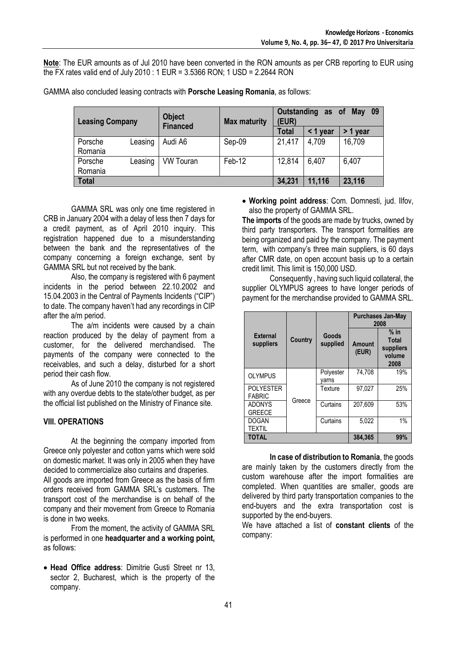**Note**: The EUR amounts as of Jul 2010 have been converted in the RON amounts as per CRB reporting to EUR using the FX rates valid end of July 2010 : 1 EUR = 3.5366 RON; 1 USD = 2.2644 RON

|         | <b>Object</b><br><b>Leasing Company</b><br><b>Financed</b> |                  | <b>Max maturity</b> |        | Outstanding as of | 09<br>May |
|---------|------------------------------------------------------------|------------------|---------------------|--------|-------------------|-----------|
|         |                                                            |                  |                     | Total  | $<$ 1 year        | > 1 year  |
| Porsche | Leasing                                                    | Audi A6          | Sep-09              | 21,417 | 4,709             | 16,709    |
| Romania |                                                            |                  |                     |        |                   |           |
| Porsche | Leasing                                                    | <b>VW Touran</b> | Feb-12              | 12.814 | 6,407             | 6,407     |
| Romania |                                                            |                  |                     |        |                   |           |
| Total   |                                                            |                  |                     | 34,231 | 11,116            | 23,116    |

GAMMA also concluded leasing contracts with **Porsche Leasing Romania**, as follows:

GAMMA SRL was only one time registered in CRB in January 2004 with a delay of less then 7 days for a credit payment, as of April 2010 inquiry. This registration happened due to a misunderstanding between the bank and the representatives of the company concerning a foreign exchange, sent by GAMMA SRL but not received by the bank.

Also, the company is registered with 6 payment incidents in the period between 22.10.2002 and 15.04.2003 in the Central of Payments Incidents ("CIP") to date. The company haven't had any recordings in CIP after the a/m period.

The a/m incidents were caused by a chain reaction produced by the delay of payment from a customer, for the delivered merchandised. The payments of the company were connected to the receivables, and such a delay, disturbed for a short period their cash flow.

As of June 2010 the company is not registered with any overdue debts to the state/other budget, as per the official list published on the Ministry of Finance site.

# **VIII. OPERATIONS**

At the beginning the company imported from Greece only polyester and cotton yarns which were sold on domestic market. It was only in 2005 when they have decided to commercialize also curtains and draperies. All goods are imported from Greece as the basis of firm orders received from GAMMA SRL's customers. The transport cost of the merchandise is on behalf of the company and their movement from Greece to Romania is done in two weeks.

From the moment, the activity of GAMMA SRL is performed in one **headquarter and a working point,**  as follows:

 **Head Office address**: Dimitrie Gusti Street nr 13, sector 2, Bucharest, which is the property of the company.

 **Working point address**: Com. Domnesti, jud. Ilfov, also the property of GAMMA SRL.

**The imports** of the goods are made by trucks, owned by third party transporters. The transport formalities are being organized and paid by the company. The payment term, with company's three main suppliers, is 60 days after CMR date, on open account basis up to a certain credit limit. This limit is 150,000 USD.

Consequently , having such liquid collateral, the supplier OLYMPUS agrees to have longer periods of payment for the merchandise provided to GAMMA SRL.

|                                   |         |                    |                        | <b>Purchases Jan-May</b><br>2008               |
|-----------------------------------|---------|--------------------|------------------------|------------------------------------------------|
| <b>External</b><br>suppliers      | Country | Goods<br>supplied  | <b>Amount</b><br>(EUR) | $%$ in<br>Total<br>suppliers<br>volume<br>2008 |
| <b>OLYMPUS</b>                    |         | Polyester<br>varns | 74.708                 | 19%                                            |
| <b>POLYESTER</b><br><b>FABRIC</b> |         | Texture            | 97.027                 | 25%                                            |
| <b>ADONYS</b><br><b>GREECE</b>    | Greece  | Curtains           | 207.609                | 53%                                            |
| <b>DOGAN</b><br><b>TEXTIL</b>     |         | Curtains           | 5.022                  | 1%                                             |
| <b>TOTAL</b>                      |         |                    | 384,365                | 99%                                            |

**In case of distribution to Romania**, the goods are mainly taken by the customers directly from the custom warehouse after the import formalities are completed. When quantities are smaller, goods are delivered by third party transportation companies to the end-buyers and the extra transportation cost is supported by the end-buyers.

We have attached a list of **constant clients** of the company: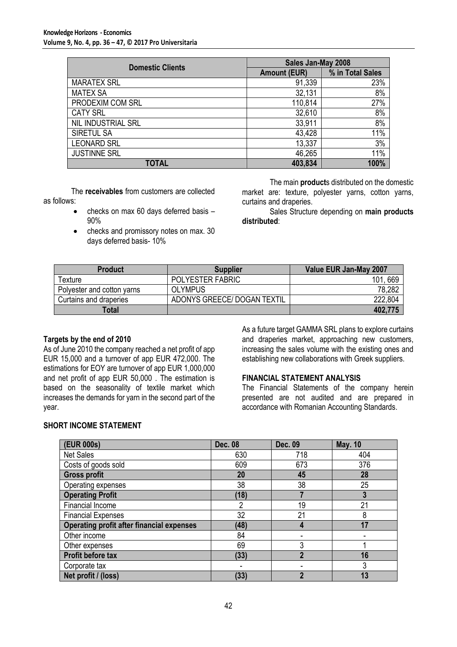| <b>Domestic Clients</b> | Sales Jan-May 2008  |                  |
|-------------------------|---------------------|------------------|
|                         | <b>Amount (EUR)</b> | % in Total Sales |
| <b>MARATEX SRL</b>      | 91,339              | 23%              |
| <b>MATEX SA</b>         | 32,131              | 8%               |
| PRODEXIM COM SRL        | 110,814             | 27%              |
| <b>CATY SRL</b>         | 32,610              | 8%               |
| NIL INDUSTRIAL SRL      | 33,911              | 8%               |
| SIRETUL SA              | 43,428              | 11%              |
| <b>LEONARD SRL</b>      | 13,337              | 3%               |
| <b>JUSTINNE SRL</b>     | 46,265              | 11%              |
| <b>TOTAL</b>            | 403,834             | 100%             |

The **receivables** from customers are collected as follows:

- checks on max 60 days deferred basis 90%
- checks and promissory notes on max. 30 days deferred basis- 10%

The main **product**s distributed on the domestic market are: texture, polyester yarns, cotton yarns, curtains and draperies.

Sales Structure depending on **main products distributed**:

| <b>Product</b>             | <b>Supplier</b>             | Value EUR Jan-May 2007 |
|----------------------------|-----------------------------|------------------------|
| Гexture                    | POLYESTER FABRIC            | 669<br>101             |
| Polyester and cotton yarns | <b>OLYMPUS</b>              | 78,282                 |
| Curtains and draperies     | ADONYS GREECE/ DOGAN TEXTIL | 222,804                |
| Total                      |                             | 402,775                |

### **Targets by the end of 2010**

As of June 2010 the company reached a net profit of app EUR 15,000 and a turnover of app EUR 472,000. The estimations for EOY are turnover of app EUR 1,000,000 and net profit of app EUR 50,000 . The estimation is based on the seasonality of textile market which increases the demands for yarn in the second part of the year.

As a future target GAMMA SRL plans to explore curtains and draperies market, approaching new customers, increasing the sales volume with the existing ones and establishing new collaborations with Greek suppliers.

# **FINANCIAL STATEMENT ANALYSIS**

The Financial Statements of the company herein presented are not audited and are prepared in accordance with Romanian Accounting Standards.

# **SHORT INCOME STATEMENT**

| (EUR 000s)                                       | <b>Dec. 08</b> | Dec. 09                 | <b>May. 10</b> |
|--------------------------------------------------|----------------|-------------------------|----------------|
| <b>Net Sales</b>                                 | 630            | 718                     | 404            |
| Costs of goods sold                              | 609            | 673                     | 376            |
| <b>Gross profit</b>                              | 20             | 45                      | 28             |
| Operating expenses                               | 38             | 38                      | 25             |
| <b>Operating Profit</b>                          | (18)           |                         | 3              |
| Financial Income                                 | $\overline{2}$ | 19                      | 21             |
| <b>Financial Expenses</b>                        | 32             | 21                      | 8              |
| <b>Operating profit after financial expenses</b> | (48)           | 4                       | 17             |
| Other income                                     | 84             |                         |                |
| Other expenses                                   | 69             | 3                       |                |
| <b>Profit before tax</b>                         | (33)           | $\overline{\mathbf{2}}$ | 16             |
| Corporate tax                                    |                |                         | 3              |
| Net profit / (loss)                              | (33)           | $\mathbf{v}$            | 13             |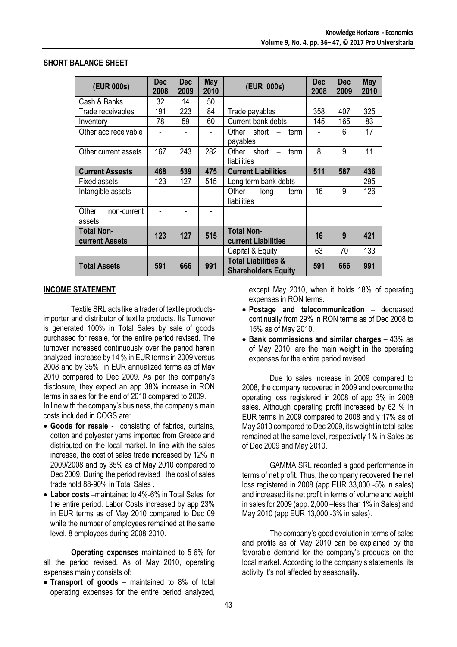| (EUR 000s)                          | <b>Dec</b><br>2008 | Dec<br>2009 | May<br>2010 | (EUR 000s)                                                        | Dec<br>2008 | <b>Dec</b><br>2009 | May<br>2010 |
|-------------------------------------|--------------------|-------------|-------------|-------------------------------------------------------------------|-------------|--------------------|-------------|
| Cash & Banks                        | 32                 | 14          | 50          |                                                                   |             |                    |             |
| Trade receivables                   | 191                | 223         | 84          | Trade payables                                                    | 358         | 407                | 325         |
| Inventory                           | 78                 | 59          | 60          | Current bank debts                                                | 145         | 165                | 83          |
| Other acc receivable                |                    |             |             | short<br>Other<br>term<br>payables                                |             | 6                  | 17          |
| Other current assets                | 167                | 243         | 282         | short<br>Other<br>term<br>$\overline{\phantom{0}}$<br>liabilities | 8           | 9                  | 11          |
| <b>Current Assests</b>              | 468                | 539         | 475         | <b>Current Liabilities</b>                                        | 511         | 587                | 436         |
| <b>Fixed assets</b>                 | 123                | 127         | 515         | Long term bank debts                                              |             |                    | 295         |
| Intangible assets                   |                    |             |             | Other<br>long<br>term<br>liabilities                              | 16          | 9                  | 126         |
| Other<br>non-current<br>assets      |                    |             |             |                                                                   |             |                    |             |
| <b>Total Non-</b><br>current Assets | 123                | 127         | 515         | <b>Total Non-</b><br>current Liabilities                          | 16          | 9                  | 421         |
|                                     |                    |             |             | Capital & Equity                                                  | 63          | 70                 | 133         |
| <b>Total Assets</b>                 | 591                | 666         | 991         | <b>Total Liabilities &amp;</b><br><b>Shareholders Equity</b>      | 591         | 666                | 991         |

### **SHORT BALANCE SHEET**

### **INCOME STATEMENT**

Textile SRL acts like a trader of textile productsimporter and distributor of textile products. Its Turnover is generated 100% in Total Sales by sale of goods purchased for resale, for the entire period revised. The turnover increased continuously over the period herein analyzed- increase by 14 % in EUR terms in 2009 versus 2008 and by 35% in EUR annualized terms as of May 2010 compared to Dec 2009. As per the company's disclosure, they expect an app 38% increase in RON terms in sales for the end of 2010 compared to 2009. In line with the company's business, the company's main

- costs included in COGS are: **Goods for resale** - consisting of fabrics, curtains, cotton and polyester yarns imported from Greece and distributed on the local market. In line with the sales increase, the cost of sales trade increased by 12% in
- 2009/2008 and by 35% as of May 2010 compared to Dec 2009. During the period revised , the cost of sales trade hold 88-90% in Total Sales . **Labor costs** –maintained to 4%-6% in Total Sales for
- the entire period. Labor Costs increased by app 23% in EUR terms as of May 2010 compared to Dec 09 while the number of employees remained at the same level, 8 employees during 2008-2010.

**Operating expenses** maintained to 5-6% for all the period revised. As of May 2010, operating expenses mainly consists of:

 **Transport of goods** – maintained to 8% of total operating expenses for the entire period analyzed,

except May 2010, when it holds 18% of operating expenses in RON terms.

- **Postage and telecommunication** decreased continually from 29% in RON terms as of Dec 2008 to 15% as of May 2010.
- **Bank commissions and similar charges** 43% as of May 2010, are the main weight in the operating expenses for the entire period revised.

Due to sales increase in 2009 compared to 2008, the company recovered in 2009 and overcome the operating loss registered in 2008 of app 3% in 2008 sales. Although operating profit increased by 62 % in EUR terms in 2009 compared to 2008 and y 17% as of May 2010 compared to Dec 2009, its weight in total sales remained at the same level, respectively 1% in Sales as of Dec 2009 and May 2010.

GAMMA SRL recorded a good performance in terms of net profit. Thus, the company recovered the net loss registered in 2008 (app EUR 33,000 -5% in sales) and increased its net profit in terms of volume and weight in sales for 2009 (app. 2,000 –less than 1% in Sales) and May 2010 (app EUR 13,000 -3% in sales).

The company's good evolution in terms of sales and profits as of May 2010 can be explained by the favorable demand for the company's products on the local market. According to the company's statements, its activity it's not affected by seasonality.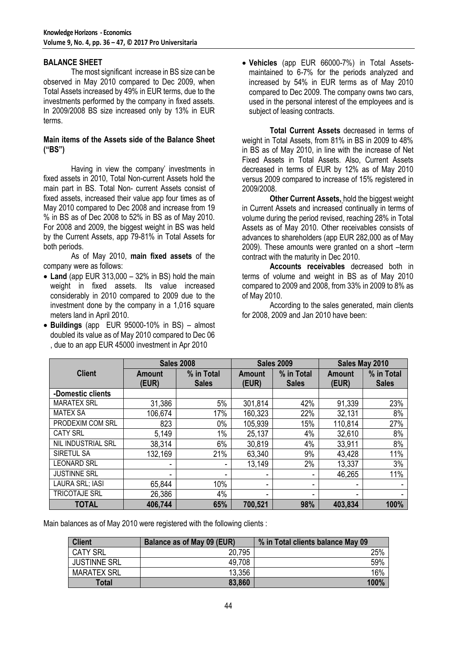### **BALANCE SHEET**

The most significant increase in BS size can be observed in May 2010 compared to Dec 2009, when Total Assets increased by 49% in EUR terms, due to the investments performed by the company in fixed assets. In 2009/2008 BS size increased only by 13% in EUR terms.

### **Main items of the Assets side of the Balance Sheet ("BS")**

Having in view the company' investments in fixed assets in 2010, Total Non-current Assets hold the main part in BS. Total Non- current Assets consist of fixed assets, increased their value app four times as of May 2010 compared to Dec 2008 and increase from 19 % in BS as of Dec 2008 to 52% in BS as of May 2010. For 2008 and 2009, the biggest weight in BS was held by the Current Assets, app 79-81% in Total Assets for both periods.

As of May 2010, **main fixed assets** of the company were as follows:

- **Land** (app EUR 313,000 32% in BS) hold the main weight in fixed assets. Its value increased considerably in 2010 compared to 2009 due to the investment done by the company in a 1,016 square meters land in April 2010.
- **Buildings** (app EUR 95000-10% in BS) almost doubled its value as of May 2010 compared to Dec 06 , due to an app EUR 45000 investment in Apr 2010

 **Vehicles** (app EUR 66000-7%) in Total Assetsmaintained to 6-7% for the periods analyzed and increased by 54% in EUR terms as of May 2010 compared to Dec 2009. The company owns two cars, used in the personal interest of the employees and is subject of leasing contracts.

**Total Current Assets** decreased in terms of weight in Total Assets, from 81% in BS in 2009 to 48% in BS as of May 2010, in line with the increase of Net Fixed Assets in Total Assets. Also, Current Assets decreased in terms of EUR by 12% as of May 2010 versus 2009 compared to increase of 15% registered in 2009/2008.

**Other Current Assets,** hold the biggest weight in Current Assets and increased continually in terms of volume during the period revised, reaching 28% in Total Assets as of May 2010. Other receivables consists of advances to shareholders (app EUR 282,000 as of May 2009). These amounts were granted on a short –term contract with the maturity in Dec 2010.

**Accounts receivables** decreased both in terms of volume and weight in BS as of May 2010 compared to 2009 and 2008, from 33% in 2009 to 8% as of May 2010.

According to the sales generated, main clients for 2008, 2009 and Jan 2010 have been:

|                      |                 | <b>Sales 2008</b>          | <b>Sales 2009</b>      |                            |                 | Sales May 2010             |  |
|----------------------|-----------------|----------------------------|------------------------|----------------------------|-----------------|----------------------------|--|
| <b>Client</b>        | Amount<br>(EUR) | % in Total<br><b>Sales</b> | <b>Amount</b><br>(EUR) | % in Total<br><b>Sales</b> | Amount<br>(EUR) | % in Total<br><b>Sales</b> |  |
| -Domestic clients    |                 |                            |                        |                            |                 |                            |  |
| <b>MARATEX SRL</b>   | 31,386          | 5%                         | 301,814                | 42%                        | 91,339          | 23%                        |  |
| <b>MATEX SA</b>      | 106,674         | 17%                        | 160,323                | 22%                        | 32,131          | 8%                         |  |
| PRODEXIM COM SRL     | 823             | 0%                         | 105,939                | 15%                        | 110,814         | 27%                        |  |
| <b>CATY SRL</b>      | 5,149           | $1\%$                      | 25,137                 | 4%                         | 32,610          | 8%                         |  |
| NIL INDUSTRIAL SRL   | 38,314          | 6%                         | 30,819                 | 4%                         | 33,911          | 8%                         |  |
| SIRETUL SA           | 132,169         | 21%                        | 63,340                 | 9%                         | 43,428          | 11%                        |  |
| <b>LEONARD SRL</b>   |                 |                            | 13,149                 | 2%                         | 13,337          | 3%                         |  |
| <b>JUSTINNE SRL</b>  | -               |                            | ۰                      |                            | 46,265          | 11%                        |  |
| LAURA SRL; IASI      | 65,844          | 10%                        | -                      |                            | ٠               |                            |  |
| <b>TRICOTAJE SRL</b> | 26,386          | 4%                         | ۰                      |                            | ۰               |                            |  |
| <b>TOTAL</b>         | 406,744         | 65%                        | 700,521                | 98%                        | 403,834         | 100%                       |  |

Main balances as of May 2010 were registered with the following clients :

| <b>Client</b>       | <b>Balance as of May 09 (EUR)</b> | % in Total clients balance May 09 |
|---------------------|-----------------------------------|-----------------------------------|
| <b>CATY SRL</b>     | 20,795                            | 25%                               |
| <b>JUSTINNE SRL</b> | 49,708                            | 59%                               |
| <b>MARATEX SRL</b>  | 13,356                            | 16%                               |
| <b>Total</b>        | 83,860                            | 100%                              |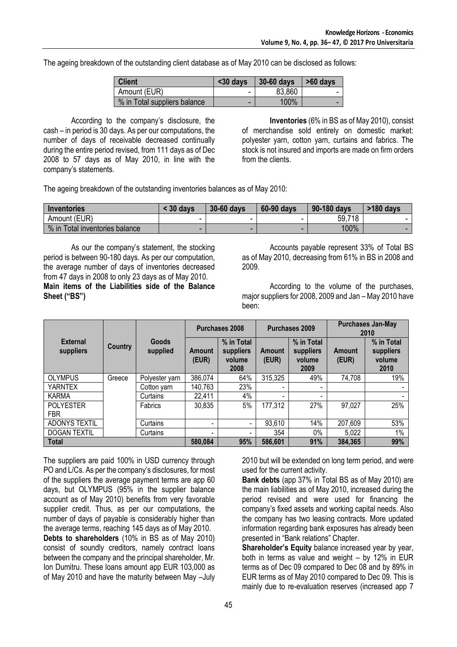The ageing breakdown of the outstanding client database as of May 2010 can be disclosed as follows:

| <b>Client</b>                | $30$ days | 30-60 days | $>60$ days |
|------------------------------|-----------|------------|------------|
| Amount (EUR)                 | -         | 83,860     | -          |
| % in Total suppliers balance | -         | 100%       |            |

According to the company's disclosure, the cash – in period is 30 days. As per our computations, the number of days of receivable decreased continually during the entire period revised, from 111 days as of Dec 2008 to 57 days as of May 2010, in line with the company's statements.

**Inventories** (6% in BS as of May 2010), consist of merchandise sold entirely on domestic market: polyester yarn, cotton yarn, curtains and fabrics. The stock is not insured and imports are made on firm orders from the clients.

The ageing breakdown of the outstanding inventories balances as of May 2010:

| Inventories                    | 30 days | <b>30-60 days</b> | 60-90 days | 90-180 days | $>180$ days |
|--------------------------------|---------|-------------------|------------|-------------|-------------|
| Amount (EUR)                   |         |                   | -          | 59,718      |             |
| % in Total inventories balance |         |                   | -          | 100%        |             |

As our the company's statement, the stocking period is between 90-180 days. As per our computation, the average number of days of inventories decreased from 47 days in 2008 to only 23 days as of May 2010. **Main items of the Liabilities side of the Balance Sheet ("BS")**

Accounts payable represent 33% of Total BS as of May 2010, decreasing from 61% in BS in 2008 and 2009.

According to the volume of the purchases, major suppliers for 2008, 2009 and Jan – May 2010 have been:

|                                |         |                   | <b>Purchases 2008</b> |                                           | Purchases 2009         |                                           | <b>Purchases Jan-May</b><br>2010 |                                           |
|--------------------------------|---------|-------------------|-----------------------|-------------------------------------------|------------------------|-------------------------------------------|----------------------------------|-------------------------------------------|
| <b>External</b><br>suppliers   | Country | Goods<br>supplied | Amount<br>(EUR)       | % in Total<br>suppliers<br>volume<br>2008 | <b>Amount</b><br>(EUR) | % in Total<br>suppliers<br>volume<br>2009 | <b>Amount</b><br>(EUR)           | % in Total<br>suppliers<br>volume<br>2010 |
| <b>OLYMPUS</b>                 | Greece  | Polyester yarn    | 386,074               | 64%                                       | 315,325                | 49%                                       | 74,708                           | 19%                                       |
| <b>YARNTEX</b>                 |         | Cotton yarn       | 140,763               | 23%                                       |                        | -                                         |                                  |                                           |
| <b>KARMA</b>                   |         | Curtains          | 22,411                | 4%                                        |                        |                                           |                                  |                                           |
| <b>POLYESTER</b><br><b>FBR</b> |         | Fabrics           | 30,835                | 5%                                        | 177,312                | 27%                                       | 97,027                           | 25%                                       |
| <b>ADONYS TEXTIL</b>           |         | Curtains          |                       | $\blacksquare$                            | 93,610                 | 14%                                       | 207,609                          | 53%                                       |
| <b>DOGAN TEXTIL</b>            |         | Curtains          |                       | ۰                                         | 354                    | $0\%$                                     | 5,022                            | 1%                                        |
| <b>Total</b>                   |         | 580,084           | 95%                   | 586,601                                   | 91%                    | 384,365                                   | 99%                              |                                           |

The suppliers are paid 100% in USD currency through PO and L/Cs. As per the company's disclosures, for most of the suppliers the average payment terms are app 60 days, but OLYMPUS (95% in the supplier balance account as of May 2010) benefits from very favorable supplier credit. Thus, as per our computations, the number of days of payable is considerably higher than the average terms, reaching 145 days as of May 2010.

**Debts to shareholders** (10% in BS as of May 2010) consist of soundly creditors, namely contract loans between the company and the principal shareholder, Mr. Ion Dumitru. These loans amount app EUR 103,000 as of May 2010 and have the maturity between May –July

2010 but will be extended on long term period, and were used for the current activity.

**Bank debts** (app 37% in Total BS as of May 2010) are the main liabilities as of May 2010, increased during the period revised and were used for financing the company's fixed assets and working capital needs. Also the company has two leasing contracts. More updated information regarding bank exposures has already been presented in "Bank relations" Chapter.

**Shareholder's Equity balance increased year by year,** both in terms as value and weight – by 12% in EUR terms as of Dec 09 compared to Dec 08 and by 89% in EUR terms as of May 2010 compared to Dec 09. This is mainly due to re-evaluation reserves (increased app 7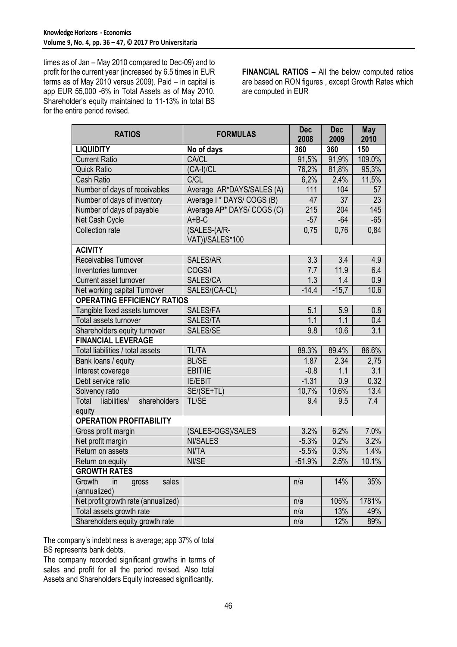times as of Jan – May 2010 compared to Dec-09) and to profit for the current year (increased by 6.5 times in EUR terms as of May 2010 versus 2009). Paid – in capital is app EUR 55,000 -6% in Total Assets as of May 2010. Shareholder's equity maintained to 11-13% in total BS for the entire period revised.

**FINANCIAL RATIOS –** All the below computed ratios are based on RON figures , except Growth Rates which are computed in EUR

| <b>RATIOS</b>                                  | <b>FORMULAS</b>            | <b>Dec</b><br>2008 | <b>Dec</b><br>2009 | <b>May</b><br>2010 |
|------------------------------------------------|----------------------------|--------------------|--------------------|--------------------|
| <b>LIQUIDITY</b>                               | No of days                 | 360                | 360                | 150                |
| <b>Current Ratio</b>                           | <b>CA/CL</b>               | 91,5%              | 91,9%              | 109.0%             |
| <b>Quick Ratio</b>                             | (CA-I)/CL                  | 76,2%              | 81,8%              | 95,3%              |
| <b>Cash Ratio</b>                              | <b>C/CL</b>                | 6,2%               | 2,4%               | 11,5%              |
| Number of days of receivables                  | Average AR*DAYS/SALES (A)  | 111                | 104                | 57                 |
| Number of days of inventory                    | Average I * DAYS/ COGS (B) | 47                 | 37                 | 23                 |
| Number of days of payable                      | Average AP* DAYS/ COGS (C) | 215                | 204                | 145                |
| Net Cash Cycle                                 | $A + B - C$                | $-57$              | $-64$              | $-65$              |
| Collection rate                                | (SALES-(A/R-               | 0,75               | 0,76               | 0,84               |
|                                                | VAT))/SALES*100            |                    |                    |                    |
| <b>ACIVITY</b>                                 |                            |                    |                    |                    |
| Receivables Turnover                           | SALES/AR                   | 3.3                | 3.4                | 4.9                |
| Inventories turnover                           | COGS/I                     | 7.7                | 11.9               | 6.4                |
| Current asset turnover                         | SALES/CA                   | 1.3                | 1.4                | 0.9                |
| Net working capital Turnover                   | SALES/(CA-CL)              | $-14.4$            | $-15,7$            | 10.6               |
| <b>OPERATING EFFICIENCY RATIOS</b>             |                            |                    |                    |                    |
| Tangible fixed assets turnover                 | SALES/FA                   | 5.1                | 5.9                | 0.8                |
| Total assets turnover                          | SALES/TA                   | 1.1                | 1.1                | 0.4                |
| Shareholders equity turnover                   | SALES/SE                   | 9.8                | 10.6               | 3.1                |
| <b>FINANCIAL LEVERAGE</b>                      |                            |                    |                    |                    |
| Total liabilities / total assets               | <b>TL/TA</b>               | 89.3%              | 89.4%              | 86.6%              |
| Bank loans / equity                            | <b>BL/SE</b>               | 1.87               | 2.34               | 2,75               |
| Interest coverage                              | EBIT/IE                    | $-0.8$             | 1.1                | 3.1                |
| Debt service ratio                             | <b>IE/EBIT</b>             | $-1.31$            | 0.9                | 0.32               |
| Solvency ratio                                 | SE/(SE+TL)                 | 10,7%              | 10.6%              | 13.4               |
| Total<br>shareholders<br>liabilities/          | TL/SE                      | 9.4                | 9.5                | 7.4                |
| equity                                         |                            |                    |                    |                    |
| <b>OPERATION PROFITABILITY</b>                 |                            |                    |                    |                    |
| Gross profit margin                            | (SALES-OGS)/SALES          | 3.2%               | 6.2%               | 7.0%               |
| Net profit margin                              | <b>NI/SALES</b>            | $-5.3%$            | 0.2%               | 3.2%               |
| Return on assets                               | NI/TA                      | $-5.5%$            | 0.3%               | 1.4%               |
| Return on equity                               | NI/SE                      | $-51.9%$           | 2.5%               | 10.1%              |
| <b>GROWTH RATES</b>                            |                            |                    |                    |                    |
| Growth<br>in<br>sales<br>gross<br>(annualized) |                            | n/a                | 14%                | 35%                |
| Net profit growth rate (annualized)            |                            | n/a                | 105%               | 1781%              |
| Total assets growth rate                       |                            | n/a                | 13%                | 49%                |
| Shareholders equity growth rate                |                            | n/a                | 12%                | 89%                |

The company's indebt ness is average; app 37% of total BS represents bank debts.

The company recorded significant growths in terms of sales and profit for all the period revised. Also total Assets and Shareholders Equity increased significantly.